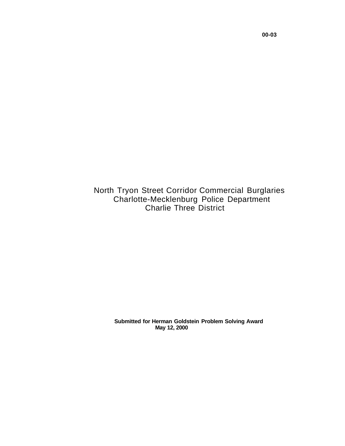North Tryon Street Corridor Commercial Burglaries Charlotte-Mecklenburg Police Department Charlie Three District

> **Submitted for Herman Goldstein Problem Solving Award May 12, 2000**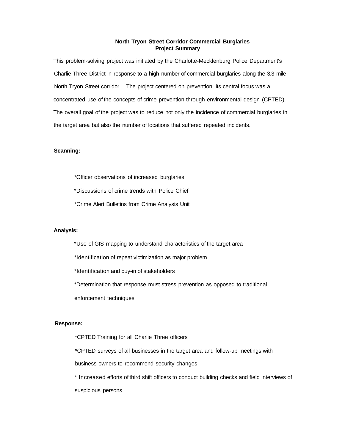## **North Tryon Street Corridor Commercial Burglaries Project Summary**

This problem-solving project was initiated by the Charlotte-Mecklenburg Police Department's Charlie Three District in response to a high number of commercial burglaries along the 3.3 mile North Tryon Street corridor. The project centered on prevention; its central focus was a concentrated use of the concepts of crime prevention through environmental design (CPTED). The overall goal of the project was to reduce not only the incidence of commercial burglaries in the target area but also the number of locations that suffered repeated incidents.

# **Scanning:**

\*Officer observations of increased burglaries

\*Discussions of crime trends with Police Chief

\*Crime Alert Bulletins from Crime Analysis Unit

## **Analysis:**

\*Use of GIS mapping to understand characteristics of the target area

\*Identification of repeat victimization as major problem

\*Identification and buy-in of stakeholders

\*Determination that response must stress prevention as opposed to traditional

enforcement techniques

# **Response:**

\*CPTED Training for all Charlie Three officers \*CPTED surveys of all businesses in the target area and follow-up meetings with business owners to recommend security changes \* Increased efforts of third shift officers to conduct building checks and field interviews of suspicious persons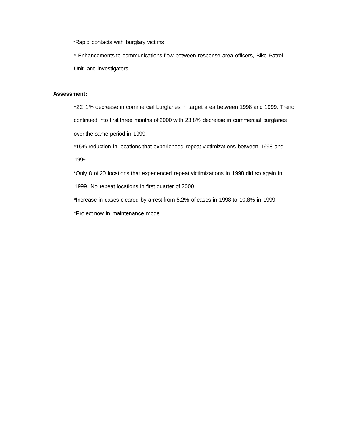\*Rapid contacts with burglary victims

\* Enhancements to communications flow between response area officers, Bike Patrol Unit, and investigators

# **Assessment:**

\*22.1% decrease in commercial burglaries in target area between 1998 and 1999. Trend continued into first three months of 2000 with 23.8% decrease in commercial burglaries over the same period in 1999.

\*15% reduction in locations that experienced repeat victimizations between 1998 and 1999

\*Only 8 of 20 locations that experienced repeat victimizations in 1998 did so again in 1999. No repeat locations in first quarter of 2000.

\*Increase in cases cleared by arrest from 5.2% of cases in 1998 to 10.8% in 1999

\*Project now in maintenance mode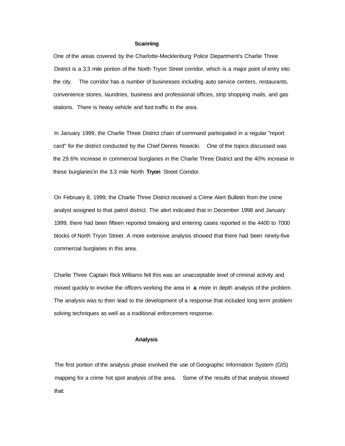#### **Scanning**

One of the areas covered by the Charlotte-Mecklenburg Police Department's Charlie Three District is a 3.3 mile portion of the North Tryon Street corridor, which is a major point of entry into the city. The corridor has a number of businesses including auto service centers, restaurants, convenience stores, laundries, business and professional offices, strip shopping mails, and gas stations. There is heavy vehicle and foot traffic in the area.

In January 1999, the Charlie Three District chain of command participated in a regular "report card" for the district conducted by the Chief Dennis Nowicki. One of the topics discussed was the 29.6% increase in commercial burglaries in the Charlie Three District and the 40% increase in these burglaries'in the 3.3 mile North **Tryon** Street Corridor.

On February 8, 1999, the Charlie Three District received a Crime Alert Bulletin from the crime analyst assigned to that patrol district. The alert indicated that in December 1998 and January 1999, there had been fifteen reported breaking and entering cases reported in the 4400 to 7000 blocks of North Tryon Street. A more extensive analysis showed that there had been ninety-five commercial burglaries in this area.

Charlie Three Captain Rick Williams felt this was an unacceptable level of criminal activity and moved quickly to involve the officers working the area in **a** more in depth analysis of the problem. The analysis was to then lead to the development of a response that included long term problem solving techniques as well as a traditional enforcement response.

## **Analysis**

The first portion of the analysis phase involved the use of Geographic Information System (GIS) mapping for a crime hot spot analysis of the area. Some of the results of that analysis showed that: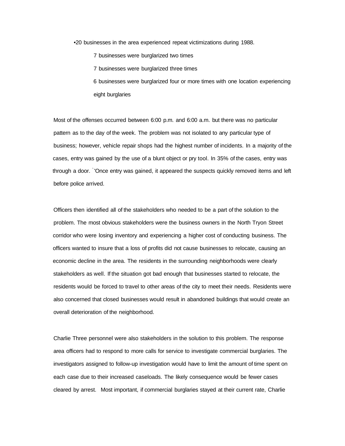•20 businesses in the area experienced repeat victimizations during 1988.

7 businesses were burglarized two times

- 7 businesses were burglarized three times
- 6 businesses were burglarized four or more times with one location experiencing eight burglaries

Most of the offenses occurred between 6:00 p.m. and 6:00 a.m. but there was no particular pattern as to the day of the week. The problem was not isolated to any particular type of business; however, vehicle repair shops had the highest number of incidents. In a majority of the cases, entry was gained by the use of a blunt object or pry tool. In 35% of the cases, entry was through a door. 'Once entry was gained, it appeared the suspects quickly removed items and left before police arrived.

Officers then identified all of the stakeholders who needed to be a part of the solution to the problem. The most obvious stakeholders were the business owners in the North Tryon Street corridor who were losing inventory and experiencing a higher cost of conducting business. The officers wanted to insure that a loss of profits did not cause businesses to relocate, causing an economic decline in the area. The residents in the surrounding neighborhoods were clearly stakeholders as well. If the situation got bad enough that businesses started to relocate, the residents would be forced to travel to other areas of the city to meet their needs. Residents were also concerned that closed businesses would result in abandoned buildings that would create an overall deterioration of the neighborhood.

Charlie Three personnel were also stakeholders in the solution to this problem. The response area officers had to respond to more calls for service to investigate commercial burglaries. The investigators assigned to follow-up investigation would have to limit the amount of time spent on each case due to their increased caseloads. The likely consequence would be fewer cases cleared by arrest. Most important, if commercial burglaries stayed at their current rate, Charlie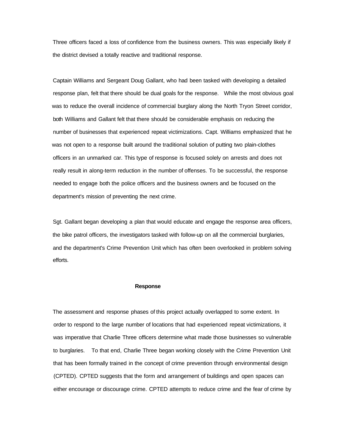Three officers faced a loss of confidence from the business owners. This was especially likely if the district devised a totally reactive and traditional response.

Captain Williams and Sergeant Doug Gallant, who had been tasked with developing a detailed response plan, felt that there should be dual goals for the response. While the most obvious goal was to reduce the overall incidence of commercial burglary along the North Tryon Street corridor, both Williams and Gallant felt that there should be considerable emphasis on reducing the number of businesses that experienced repeat victimizations. Capt. Williams emphasized that he was not open to a response built around the traditional solution of putting two plain-clothes officers in an unmarked car. This type of response is focused solely on arrests and does not really result in along-term reduction in the number of offenses. To be successful, the response needed to engage both the police officers and the business owners and be focused on the department's mission of preventing the next crime.

Sgt. Gallant began developing a plan that would educate and engage the response area officers, the bike patrol officers, the investigators tasked with follow-up on all the commercial burglaries, and the department's Crime Prevention Unit which has often been overlooked in problem solving efforts.

#### **Response**

The assessment and response phases of this project actually overlapped to some extent. In order to respond to the large number of locations that had experienced repeat victimizations, it was imperative that Charlie Three officers determine what made those businesses so vulnerable to burglaries. To that end, Charlie Three began working closely with the Crime Prevention Unit that has been formally trained in the concept of crime prevention through environmental design (CPTED). CPTED suggests that the form and arrangement of buildings and open spaces can either encourage or discourage crime. CPTED attempts to reduce crime and the fear of crime by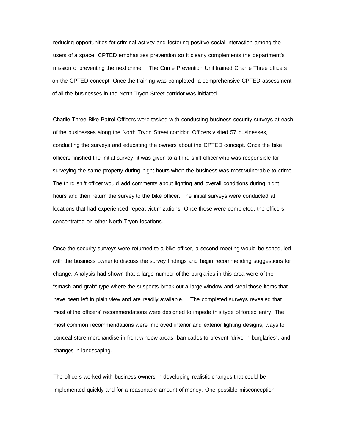reducing opportunities for criminal activity and fostering positive social interaction among the users of a space. CPTED emphasizes prevention so it clearly complements the department's mission of preventing the next crime. The Crime Prevention Unit trained Charlie Three officers on the CPTED concept. Once the training was completed, a comprehensive CPTED assessment of all the businesses in the North Tryon Street corridor was initiated.

Charlie Three Bike Patrol Officers were tasked with conducting business security surveys at each of the businesses along the North Tryon Street corridor. Officers visited 57 businesses, conducting the surveys and educating the owners about the CPTED concept. Once the bike officers finished the initial survey, it was given to a third shift officer who was responsible for surveying the same property during night hours when the business was most vulnerable to crime The third shift officer would add comments about lighting and overall conditions during night hours and then return the survey to the bike officer. The initial surveys were conducted at locations that had experienced repeat victimizations. Once those were completed, the officers concentrated on other North Tryon locations.

Once the security surveys were returned to a bike officer, a second meeting would be scheduled with the business owner to discuss the survey findings and begin recommending suggestions for change. Analysis had shown that a large number of the burglaries in this area were of the "smash and grab" type where the suspects break out a large window and steal those items that have been left in plain view and are readily available. The completed surveys revealed that most of the officers' recommendations were designed to impede this type of forced entry. The most common recommendations were improved interior and exterior lighting designs, ways to conceal store merchandise in front window areas, barricades to prevent "drive-in burglaries", and changes in landscaping.

The officers worked with business owners in developing realistic changes that could be implemented quickly and for a reasonable amount of money. One possible misconception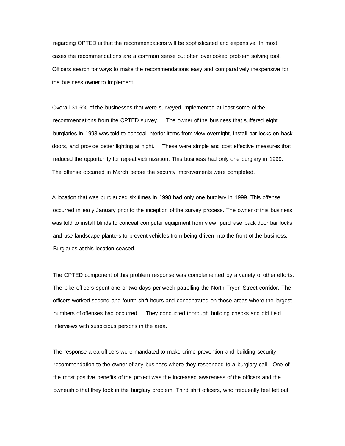regarding OPTED is that the recommendations will be sophisticated and expensive. In most cases the recommendations are a common sense but often overlooked problem solving tool. Officers search for ways to make the recommendations easy and comparatively inexpensive for the business owner to implement.

Overall 31.5% of the businesses that were surveyed implemented at least some of the recommendations from the CPTED survey. The owner of the business that suffered eight burglaries in 1998 was told to conceal interior items from view overnight, install bar locks on back doors, and provide better lighting at night. These were simple and cost effective measures that reduced the opportunity for repeat victimization. This business had only one burglary in 1999. The offense occurred in March before the security improvements were completed.

A location that was burglarized six times in 1998 had only one burglary in 1999. This offense occurred in early January prior to the inception of the survey process. The owner of this business was told to install blinds to conceal computer equipment from view, purchase back door bar locks, and use landscape planters to prevent vehicles from being driven into the front of the business. Burglaries at this location ceased.

The CPTED component of this problem response was complemented by a variety of other efforts. The bike officers spent one or two days per week patrolling the North Tryon Street corridor. The officers worked second and fourth shift hours and concentrated on those areas where the largest numbers of offenses had occurred. They conducted thorough building checks and did field interviews with suspicious persons in the area.

The response area officers were mandated to make crime prevention and building security recommendation to the owner of any business where they responded to a burglary call One of the most positive benefits of the project was the increased awareness of the officers and the ownership that they took in the burglary problem. Third shift officers, who frequently feel left out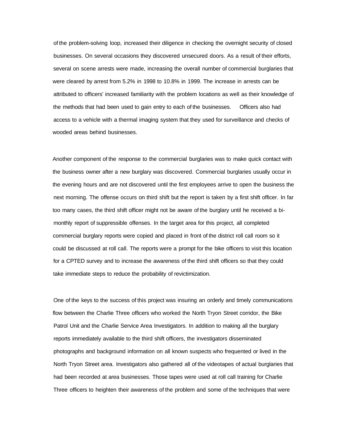of the problem-solving loop, increased their diligence in checking the overnight security of closed businesses. On several occasions they discovered unsecured doors. As a result of their efforts, several on scene arrests were made, increasing the overall number of commercial burglaries that were cleared by arrest from 5.2% in 1998 to 10.8% in 1999. The increase in arrests can be attributed to officers' increased familiarity with the problem locations as well as their knowledge of the methods that had been used to gain entry to each of the businesses. Officers also had access to a vehicle with a thermal imaging system that they used for surveillance and checks of wooded areas behind businesses.

Another component of the response to the commercial burglaries was to make quick contact with the business owner after a new burglary was discovered. Commercial burglaries usually occur in the evening hours and are not discovered until the first employees arrive to open the business the next morning. The offense occurs on third shift but the report is taken by a first shift officer. In far too many cases, the third shift officer might not be aware of the burglary until he received a bimonthly report of suppressible offenses. In the target area for this project, all completed commercial burglary reports were copied and placed in front of the district roll call room so it could be discussed at roll call. The reports were a prompt for the bike officers to visit this location for a CPTED survey and to increase the awareness of the third shift officers so that they could take immediate steps to reduce the probability of revictimization.

One of the keys to the success of this project was insuring an orderly and timely communications flow between the Charlie Three officers who worked the North Tryon Street corridor, the Bike Patrol Unit and the Charlie Service Area Investigators. In addition to making all the burglary reports immediately available to the third shift officers, the investigators disseminated photographs and background information on all known suspects who frequented or lived in the North Tryon Street area. Investigators also gathered all of the videotapes of actual burglaries that had been recorded at area businesses. Those tapes were used at roll call training for Charlie Three officers to heighten their awareness of the problem and some of the techniques that were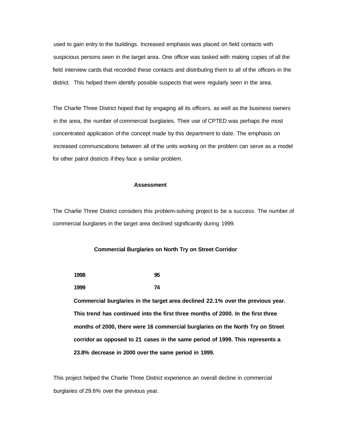used to gain entry to the buildings. Increased emphasis was placed on field contacts with suspicious persons seen in the target area. One officer was tasked with making copies of all the field interview cards that recorded these contacts and distributing them to all of the officers in the district. This helped them identify possible suspects that were regularly seen in the area.

The Charlie Three District hoped that by engaging all its officers, as well as the business owners in the area, the number of commercial burglaries. Their use of CPTED was perhaps the most concentrated application of the concept made by this department to date. The emphasis on increased communications between all of the units working on the problem can serve as a model for other patrol districts if they face a similar problem.

### **Assessment**

The Charlie Three District considers this problem-solving project to be a success. The number of commercial burglaries in the target area declined significantly during 1999.

#### **Commercial Burglaries on North Try on Street Corridor**

| 1998 | 95 |
|------|----|
| 1999 | 74 |

**Commercial burglaries in the target area declined 22.1% over the previous year. This trend has continued into the first three months of 2000. In the first three months of 2000, there were 16 commercial burglaries on the North Try on Street corridor as opposed to 21 cases in the same period of 1999. This represents a 23.8% decrease in 2000 over the same period in 1999.**

This project helped the Charlie Three District experience an overall decline in commercial burglaries of 29.6% over the previous year.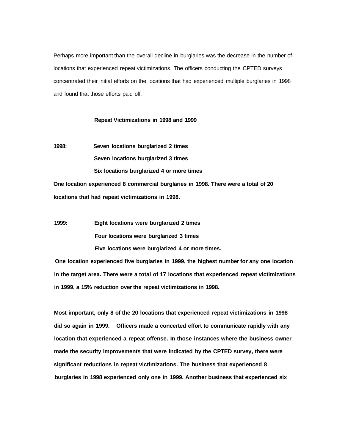Perhaps more important than the overall decline in burglaries was the decrease in the number of locations that experienced repeat victimizations. The officers conducting the CPTED surveys concentrated their initial efforts on the locations that had experienced multiple burglaries in 1998 and found that those efforts paid off.

## **Repeat Victimizations in 1998 and 1999**

**1998: Seven locations burglarized 2 times Seven locations burglarized 3 times Six locations burglarized 4 or more times**

**One location experienced 8 commercial burglaries in 1998. There were a total of 20 locations that had repeat victimizations in 1998.**

**1999: Eight locations were burglarized 2 times Four locations were burglarized 3 times Five locations were burglarized 4 or more times.**

**One location experienced five burglaries in 1999, the highest number for any one location in the target area. There were a total of 17 locations that experienced repeat victimizations in 1999, a 15% reduction over the repeat victimizations in 1998.**

**Most important, only 8 of the 20 locations that experienced repeat victimizations in 1998 did so again in 1999. Officers made a concerted effort to communicate rapidly with any location that experienced a repeat offense. In those instances where the business owner made the security improvements that were indicated by the CPTED survey, there were significant reductions in repeat victimizations. The business that experienced 8 burglaries in 1998 experienced only one in 1999. Another business that experienced six**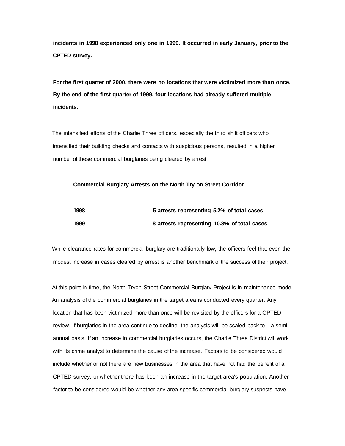**incidents in 1998 experienced only one in 1999. It occurred in early January, prior to the CPTED survey.**

**For the first quarter of 2000, there were no locations that were victimized more than once. By the end of the first quarter of 1999, four locations had already suffered multiple incidents.**

The intensified efforts of the Charlie Three officers, especially the third shift officers who intensified their building checks and contacts with suspicious persons, resulted in a higher number of these commercial burglaries being cleared by arrest.

## **Commercial Burglary Arrests on the North Try on Street Corridor**

| 1998 | 5 arrests representing 5.2% of total cases  |
|------|---------------------------------------------|
| 1999 | 8 arrests representing 10.8% of total cases |

While clearance rates for commercial burglary are traditionally low, the officers feel that even the modest increase in cases cleared by arrest is another benchmark of the success of their project.

At this point in time, the North Tryon Street Commercial Burglary Project is in maintenance mode. An analysis of the commercial burglaries in the target area is conducted every quarter. Any location that has been victimized more than once will be revisited by the officers for a OPTED review. If burglaries in the area continue to decline, the analysis will be scaled back to a semiannual basis. If an increase in commercial burglaries occurs, the Charlie Three District will work with its crime analyst to determine the cause of the increase. Factors to be considered would include whether or not there are new businesses in the area that have not had the benefit of a CPTED survey, or whether there has been an increase in the target area's population. Another factor to be considered would be whether any area specific commercial burglary suspects have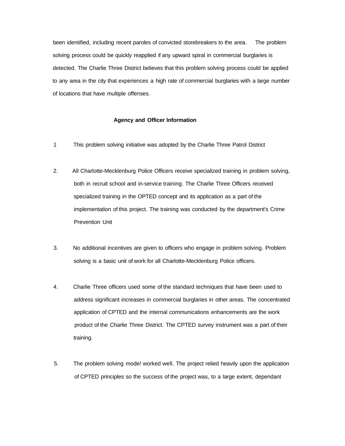been identified, including recent paroles of convicted storebreakers to the area. The problem solving process could be quickly reapplied if any upward spiral in commercial burglaries is detected. The Charlie Three District believes that this problem solving process could be applied to any area in the city that experiences a high rate of commercial burglaries with a large number of locations that have multiple offenses.

## **Agency and Officer Information**

- 1 This problem solving initiative was adopted by the Charlie Three Patrol District
- 2. All Charlotte-Mecklenburg Police Officers receive specialized training in problem solving, both in recruit school and in-service training. The Charlie Three Officers received specialized training in the OPTED concept and its application as a part of the implementation of this project. The training was conducted by the department's Crime Prevention Unit
- 3. No additional incentives are given to officers who engage in problem solving. Problem solving is a basic unit of work for all Charlotte-Mecklenburg Police officers.
- 4. Charlie Three officers used some of the standard techniques that have been used to address significant increases in commercial burglaries in other areas. The concentrated application of CPTED and the internal communications enhancements are the work product of the Charlie Three District. The CPTED survey instrument was a part of their training.
- 5. The problem solving mode! worked well. The project relied heavily upon the application of CPTED principles so the success of the project was, to a large extent, dependant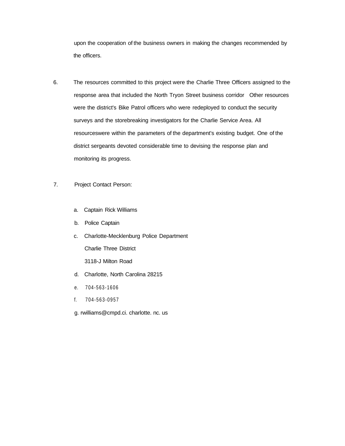upon the cooperation of the business owners in making the changes recommended by the officers.

- 6. The resources committed to this project were the Charlie Three Officers assigned to the response area that included the North Tryon Street business corridor Other resources were the district's Bike Patrol officers who were redeployed to conduct the security surveys and the storebreaking investigators for the Charlie Service Area. All resourceswere within the parameters of the department's existing budget. One of the district sergeants devoted considerable time to devising the response plan and monitoring its progress.
- 7. Project Contact Person:
	- a. Captain Rick Williams
	- b. Police Captain
	- c. Charlotte-Mecklenburg Police Department Charlie Three District 3118-J Milton Road
	- d. Charlotte, North Carolina 28215
	- e. 704-563-1606
	- f. 704-563-0957
	- g. rwilliams@cmpd.ci. charlotte. nc. us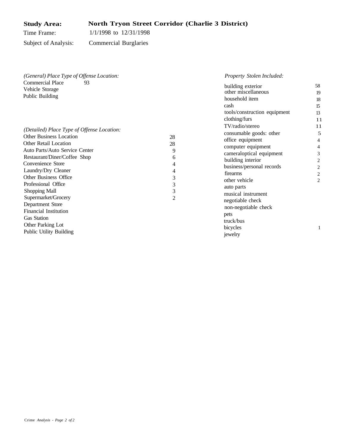#### **Study Area:** Time Frame: **North Tryon Street Corridor (Charlie 3 District)** 1/1/1998 to 12/31/1998 Subject of Analysis: Commercial Burglaries

| (General) Place Type of Offense Location:                                                                                                                                                                                                                                                                                                                                                                                                                           | Property Stolen Included:                                                                                                                                                                                                                                                                                                                                                                                                                                                       |                                                                                             |
|---------------------------------------------------------------------------------------------------------------------------------------------------------------------------------------------------------------------------------------------------------------------------------------------------------------------------------------------------------------------------------------------------------------------------------------------------------------------|---------------------------------------------------------------------------------------------------------------------------------------------------------------------------------------------------------------------------------------------------------------------------------------------------------------------------------------------------------------------------------------------------------------------------------------------------------------------------------|---------------------------------------------------------------------------------------------|
| <b>Commercial Place</b><br>93<br>Vehicle Storage<br>Public Building<br>(Detailed) Place Type of Offense Location:<br><b>Other Business Location</b><br><b>Other Retail Location</b><br>Auto Parts/Auto Service Center<br>Restaurant/Diner/Coffee Shop<br>Convenience Store<br>Laundry/Dry Cleaner<br>Other Business Office<br>Professional Office<br>Shopping Mall<br>Supermarket/Grocery<br>Department Store<br><b>Financial Institution</b><br><b>Gas Station</b> | building exterior<br>other miscellaneous<br>household item<br>cash<br>tools/construction equipment<br>clothing/furs<br>TV/radio/stereo<br>consumable goods: other<br>28<br>office equipment<br>28<br>computer equipment<br>9<br>cameraloptical equipment<br>6<br>building interior<br>4<br>business/personal records<br>4<br>firearms<br>3<br>other vehicle<br>3<br>auto parts<br>3<br>musical instrument<br>2<br>negotiable check<br>non-negotiable check<br>pets<br>truck/bus | 58<br>19<br>18<br>15<br>13<br>11<br>11<br>5<br>4<br>4<br>3<br>2<br>2<br>2<br>$\overline{c}$ |
| Other Parking Lot<br>Public Utility Building                                                                                                                                                                                                                                                                                                                                                                                                                        | bicycles<br>jewelry                                                                                                                                                                                                                                                                                                                                                                                                                                                             |                                                                                             |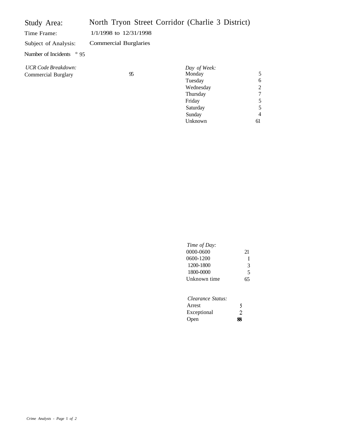| Study Area:                                       | North Tryon Street Corridor (Charlie 3 District) |                                                            |                                    |
|---------------------------------------------------|--------------------------------------------------|------------------------------------------------------------|------------------------------------|
| Time Frame:                                       | $1/1/1998$ to $12/31/1998$                       |                                                            |                                    |
| Subject of Analysis:                              | <b>Commercial Burglaries</b>                     |                                                            |                                    |
| Number of Incidents $\degree$ 95                  |                                                  |                                                            |                                    |
| <b>UCR Code Breakdown:</b><br>Commercial Burglary | 95                                               | Day of Week:<br>Monday<br>Tuesday<br>Wednesday<br>Thursday | 5<br>6<br>$\overline{2}$<br>$\tau$ |

| Time of Day: |    |
|--------------|----|
| 0000-0600    | 21 |
| 0600-1200    |    |
| 1200-1800    | 3  |
| 1800-0000    | 5  |
| Unknown time | 65 |
|              |    |
|              |    |

Friday Saturday Sunday Unknown

| Clearance Status: |   |
|-------------------|---|
| Arrest            | S |
| Exceptional       | 2 |
| Open              | ж |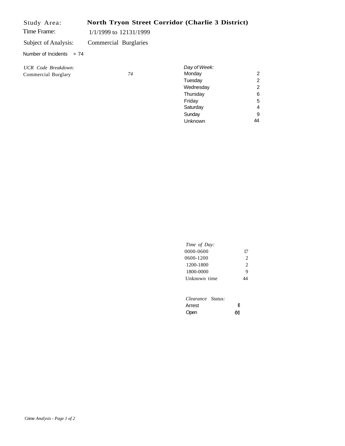| Study Area:                |                        |    | North Tryon Street Corridor (Charlie 3 District) |   |
|----------------------------|------------------------|----|--------------------------------------------------|---|
| Time Frame:                | 1/1/1999 to 12131/1999 |    |                                                  |   |
| Subject of Analysis:       | Commercial Burglaries  |    |                                                  |   |
| Number of Incidents $= 74$ |                        |    |                                                  |   |
| UCR Code Breakdown:        |                        |    | Day of Week:                                     |   |
| Commercial Burglary        |                        | 74 | Monday                                           | 2 |
|                            |                        |    | Tuesday                                          | 2 |
|                            |                        |    | Wednesday                                        | 2 |
|                            |                        |    | Thursday                                         | 6 |
|                            |                        |    | Friday                                           | 5 |

| Time of Day: |                |
|--------------|----------------|
| 0000-0600    | 17             |
| 0600-1200    | $\mathfrak{D}$ |
| 1200-1800    | $\mathfrak{D}$ |
| 1800-0000    | 9              |
| Unknown time | 44             |
|              |                |
|              |                |

Saturday **Sunday** Unknown

4 9 44

| Clearance Status: |    |
|-------------------|----|
| Arrest            | 8  |
| Open              | 66 |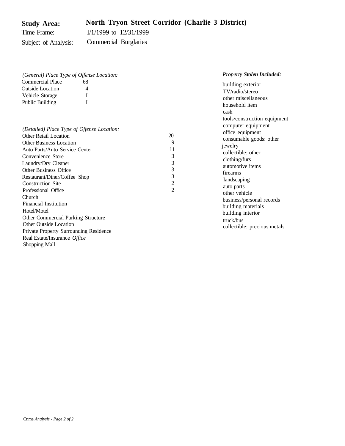#### **Study Area:** Time Frame: Subject of Analysis: **North Tryon Street Corridor (Charlie 3 District)** I/1/1999 to 12/31/1999 Commercial Burglaries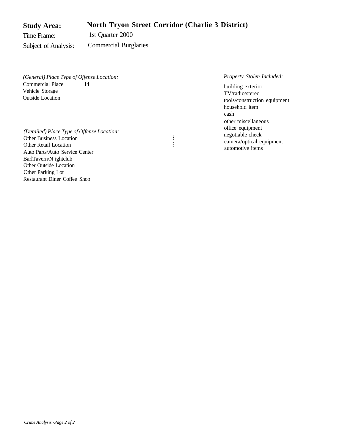#### **Study Area:** Time Frame: Subject of Analysis: **North Tryon Street Corridor (Charlie 3 District)** 1st Quarter 2000 Commercial Burglaries

| (General) Place Type of Offense Location:                                                                                                                                                                                                                            |   | <i>Property Stolen Included:</i>                                                                                    |
|----------------------------------------------------------------------------------------------------------------------------------------------------------------------------------------------------------------------------------------------------------------------|---|---------------------------------------------------------------------------------------------------------------------|
| Commercial Place<br>14<br>Vehicle Storage<br><b>Outside Location</b>                                                                                                                                                                                                 |   | building exterior<br>TV/radio/stereo<br>tools/construction equipment<br>household item                              |
| (Detailed) Place Type of Offense Location:<br><b>Other Business Location</b><br><b>Other Retail Location</b><br>Auto Parts/Auto Service Center<br>BarlTavern/N ightclub<br><b>Other Outside Location</b><br><b>Other Parking Lot</b><br>Restaurant Diner Coffee Shop | 8 | cash<br>other miscellaneous<br>office equipment<br>negotiable check<br>camera/optical equipment<br>automotive items |